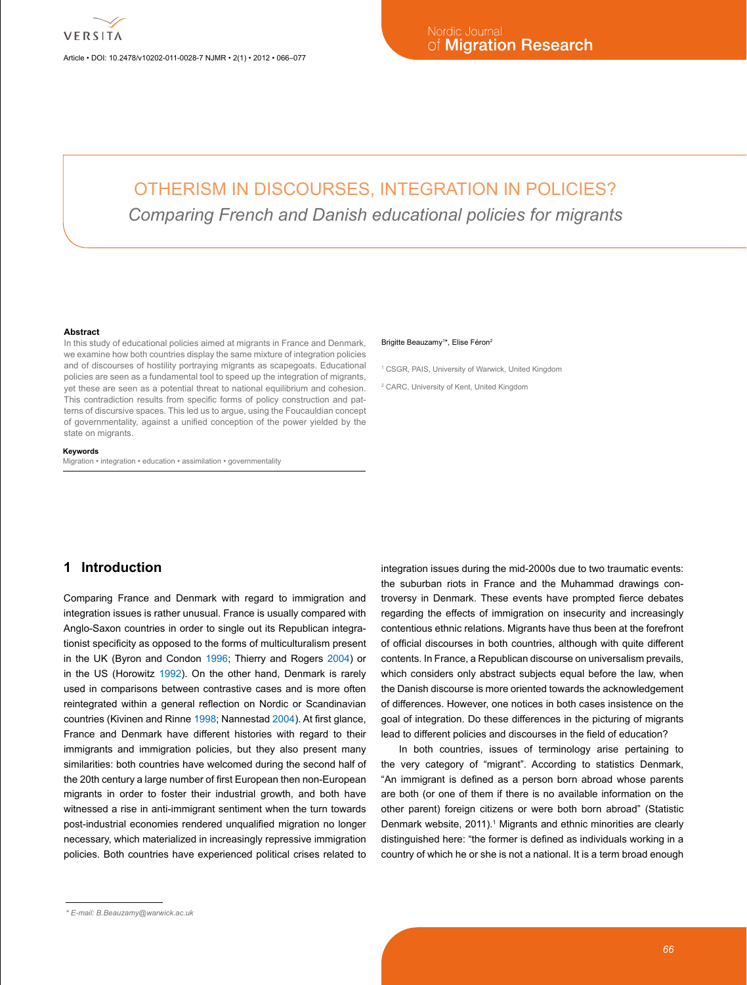Article • DOI: 10.2478/v10202-011-0028-7 NJMR • 2(1) • 2012 • 066–077

# OTHERISM IN DISCOURSES, INTEGRATION IN POLICIES? *Comparing French and Danish educational policies for migrants*

#### **Abstract**

In this study of educational policies aimed at migrants in France and Denmark, we examine how both countries display the same mixture of integration policies and of discourses of hostility portraying migrants as scapegoats. Educational policies are seen as a fundamental tool to speed up the integration of migrants, yet these are seen as a potential threat to national equilibrium and cohesion. This contradiction results from specific forms of policy construction and patterns of discursive spaces. This led us to argue, using the Foucauldian concept of governmentality, against a unified conception of the power yielded by the state on migrants.

#### **Keywords**

Migration • integration • education • assimilation • governmentality

#### Brigitte Beauzamy<sup>1\*</sup>, Elise Féron<sup>2</sup>

1 CSGR, PAIS, University of Warwick, United Kingdom

2 CARC, University of Kent, United Kingdom

# **1 Introduction**

Comparing France and Denmark with regard to immigration and integration issues is rather unusual. France is usually compared with Anglo-Saxon countries in order to single out its Republican integrationist specificity as opposed to the forms of multiculturalism present in the UK (Byron and Condon [1996;](#page-10-0) Thierry and Rogers [2004\)](#page-11-0) or in the US (Horowitz [1992\)](#page-11-1). On the other hand, Denmark is rarely used in comparisons between contrastive cases and is more often reintegrated within a general reflection on Nordic or Scandinavian countries (Kivinen and Rinne [1998](#page-11-2); Nannestad [2004](#page-11-3)). At first glance, France and Denmark have different histories with regard to their immigrants and immigration policies, but they also present many similarities: both countries have welcomed during the second half of the 20th century a large number of first European then non-European migrants in order to foster their industrial growth, and both have witnessed a rise in anti-immigrant sentiment when the turn towards post-industrial economies rendered unqualified migration no longer necessary, which materialized in increasingly repressive immigration policies. Both countries have experienced political crises related to

integration issues during the mid-2000s due to two traumatic events: the suburban riots in France and the Muhammad drawings controversy in Denmark. These events have prompted fierce debates regarding the effects of immigration on insecurity and increasingly contentious ethnic relations. Migrants have thus been at the forefront of official discourses in both countries, although with quite different contents. In France, a Republican discourse on universalism prevails, which considers only abstract subjects equal before the law, when the Danish discourse is more oriented towards the acknowledgement of differences. However, one notices in both cases insistence on the goal of integration. Do these differences in the picturing of migrants lead to different policies and discourses in the field of education?

In both countries, issues of terminology arise pertaining to the very category of "migrant". According to statistics Denmark, "An immigrant is defined as a person born abroad whose parents are both (or one of them if there is no available information on the other parent) foreign citizens or were both born abroad" (Statistic Denmark website, 20[1](#page-10-1)1).<sup>1</sup> Migrants and ethnic minorities are clearly distinguished here: "the former is defined as individuals working in a country of which he or she is not a national. It is a term broad enough

*<sup>\*</sup> E-mail: [B.Beauzamy@warwick.ac.uk](mailto:B.Beauzamy@warwick.ac.uk)*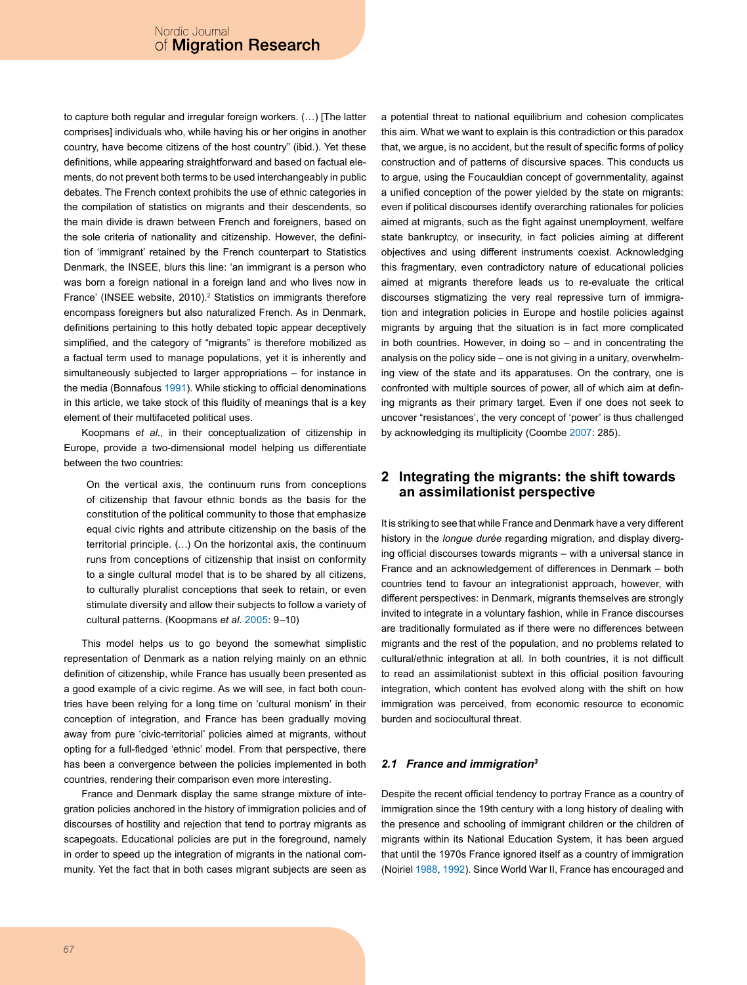to capture both regular and irregular foreign workers. (…) [The latter comprises] individuals who, while having his or her origins in another country, have become citizens of the host country" (ibid.). Yet these definitions, while appearing straightforward and based on factual elements, do not prevent both terms to be used interchangeably in public debates. The French context prohibits the use of ethnic categories in the compilation of statistics on migrants and their descendents, so the main divide is drawn between French and foreigners, based on the sole criteria of nationality and citizenship. However, the definition of 'immigrant' retained by the French counterpart to Statistics Denmark, the INSEE, blurs this line: 'an immigrant is a person who was born a foreign national in a foreign land and who lives now in France' (INSEE website, 2010).<sup>2</sup> Statistics on immigrants therefore encompass foreigners but also naturalized French. As in Denmark, definitions pertaining to this hotly debated topic appear deceptively simplified, and the category of "migrants" is therefore mobilized as a factual term used to manage populations, yet it is inherently and simultaneously subjected to larger appropriations – for instance in the media (Bonnafous [1991\)](#page-10-3). While sticking to official denominations in this article, we take stock of this fluidity of meanings that is a key element of their multifaceted political uses.

Koopmans *et al.*, in their conceptualization of citizenship in Europe, provide a two-dimensional model helping us differentiate between the two countries:

On the vertical axis, the continuum runs from conceptions of citizenship that favour ethnic bonds as the basis for the constitution of the political community to those that emphasize equal civic rights and attribute citizenship on the basis of the territorial principle. (…) On the horizontal axis, the continuum runs from conceptions of citizenship that insist on conformity to a single cultural model that is to be shared by all citizens, to culturally pluralist conceptions that seek to retain, or even stimulate diversity and allow their subjects to follow a variety of cultural patterns. (Koopmans *et al.* [2005:](#page-11-4) 9–10)

This model helps us to go beyond the somewhat simplistic representation of Denmark as a nation relying mainly on an ethnic definition of citizenship, while France has usually been presented as a good example of a civic regime. As we will see, in fact both countries have been relying for a long time on 'cultural monism' in their conception of integration, and France has been gradually moving away from pure 'civic-territorial' policies aimed at migrants, without opting for a full-fledged 'ethnic' model. From that perspective, there has been a convergence between the policies implemented in both countries, rendering their comparison even more interesting.

France and Denmark display the same strange mixture of integration policies anchored in the history of immigration policies and of discourses of hostility and rejection that tend to portray migrants as scapegoats. Educational policies are put in the foreground, namely in order to speed up the integration of migrants in the national community. Yet the fact that in both cases migrant subjects are seen as a potential threat to national equilibrium and cohesion complicates this aim. What we want to explain is this contradiction or this paradox that, we argue, is no accident, but the result of specific forms of policy construction and of patterns of discursive spaces. This conducts us to argue, using the Foucauldian concept of governmentality, against a unified conception of the power yielded by the state on migrants: even if political discourses identify overarching rationales for policies aimed at migrants, such as the fight against unemployment, welfare state bankruptcy, or insecurity, in fact policies aiming at different objectives and using different instruments coexist. Acknowledging this fragmentary, even contradictory nature of educational policies aimed at migrants therefore leads us to re-evaluate the critical discourses stigmatizing the very real repressive turn of immigration and integration policies in Europe and hostile policies against migrants by arguing that the situation is in fact more complicated in both countries. However, in doing so – and in concentrating the analysis on the policy side – one is not giving in a unitary, overwhelming view of the state and its apparatuses. On the contrary, one is confronted with multiple sources of power, all of which aim at defining migrants as their primary target. Even if one does not seek to uncover "resistances', the very concept of 'power' is thus challenged by acknowledging its multiplicity (Coombe [2007](#page-11-5): 285).

# **2 Integrating the migrants: the shift towards an assimilationist perspective**

It is striking to see that while France and Denmark have a very different history in the *longue durée* regarding migration, and display diverging official discourses towards migrants – with a universal stance in France and an acknowledgement of differences in Denmark – both countries tend to favour an integrationist approach, however, with different perspectives: in Denmark, migrants themselves are strongly invited to integrate in a voluntary fashion, while in France discourses are traditionally formulated as if there were no differences between migrants and the rest of the population, and no problems related to cultural/ethnic integration at all. In both countries, it is not difficult to read an assimilationist subtext in this official position favouring integration, which content has evolved along with the shift on how immigration was perceived, from economic resource to economic burden and sociocultural threat.

### *2.1 France and immigration[3](#page-10-4)*

Despite the recent official tendency to portray France as a country of immigration since the 19th century with a long history of dealing with the presence and schooling of immigrant children or the children of migrants within its National Education System, it has been argued that until the 1970s France ignored itself as a country of immigration (Noiriel [1988](#page-11-6), [1992\)](#page-11-7). Since World War II, France has encouraged and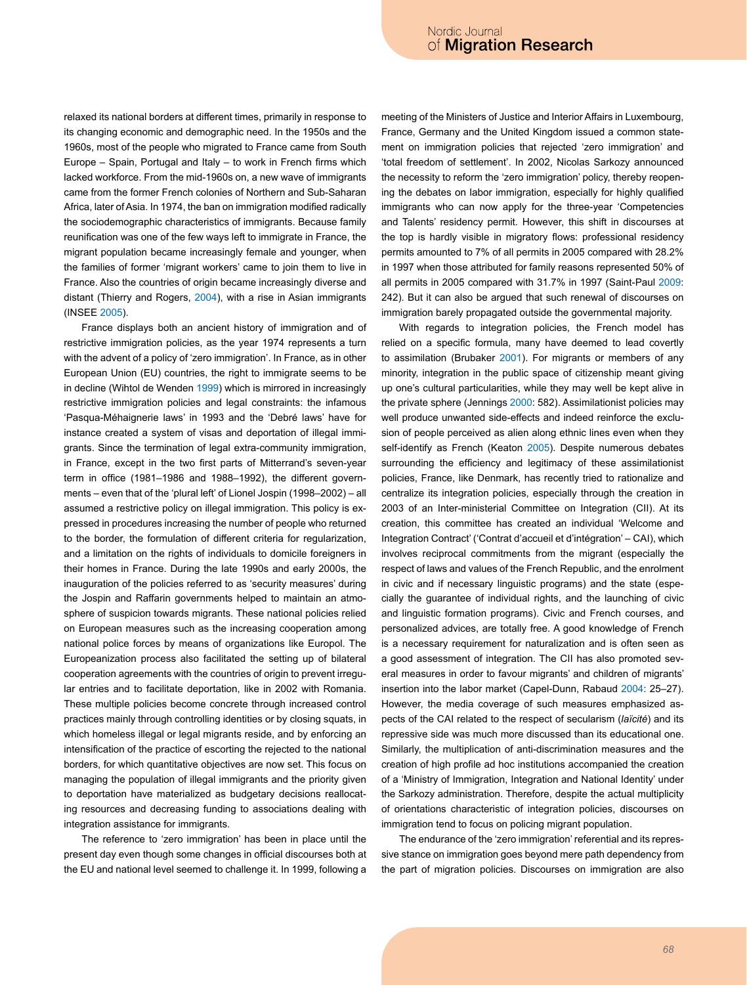relaxed its national borders at different times, primarily in response to its changing economic and demographic need. In the 1950s and the 1960s, most of the people who migrated to France came from South Europe – Spain, Portugal and Italy – to work in French firms which lacked workforce. From the mid-1960s on, a new wave of immigrants came from the former French colonies of Northern and Sub-Saharan Africa, later of Asia. In 1974, the ban on immigration modified radically the sociodemographic characteristics of immigrants. Because family reunification was one of the few ways left to immigrate in France, the migrant population became increasingly female and younger, when the families of former 'migrant workers' came to join them to live in France. Also the countries of origin became increasingly diverse and distant (Thierry and Rogers, [2004](#page-11-0)), with a rise in Asian immigrants (INSEE [2005\)](#page-11-8).

France displays both an ancient history of immigration and of restrictive immigration policies, as the year 1974 represents a turn with the advent of a policy of 'zero immigration'. In France, as in other European Union (EU) countries, the right to immigrate seems to be in decline (Wihtol de Wenden [1999](#page-11-9)) which is mirrored in increasingly restrictive immigration policies and legal constraints: the infamous 'Pasqua-Méhaignerie laws' in 1993 and the 'Debré laws' have for instance created a system of visas and deportation of illegal immigrants. Since the termination of legal extra-community immigration, in France, except in the two first parts of Mitterrand's seven-year term in office (1981–1986 and 1988–1992), the different governments – even that of the 'plural left' of Lionel Jospin (1998–2002) – all assumed a restrictive policy on illegal immigration. This policy is expressed in procedures increasing the number of people who returned to the border, the formulation of different criteria for regularization, and a limitation on the rights of individuals to domicile foreigners in their homes in France. During the late 1990s and early 2000s, the inauguration of the policies referred to as 'security measures' during the Jospin and Raffarin governments helped to maintain an atmosphere of suspicion towards migrants. These national policies relied on European measures such as the increasing cooperation among national police forces by means of organizations like Europol. The Europeanization process also facilitated the setting up of bilateral cooperation agreements with the countries of origin to prevent irregular entries and to facilitate deportation, like in 2002 with Romania. These multiple policies become concrete through increased control practices mainly through controlling identities or by closing squats, in which homeless illegal or legal migrants reside, and by enforcing an intensification of the practice of escorting the rejected to the national borders, for which quantitative objectives are now set. This focus on managing the population of illegal immigrants and the priority given to deportation have materialized as budgetary decisions reallocating resources and decreasing funding to associations dealing with integration assistance for immigrants.

The reference to 'zero immigration' has been in place until the present day even though some changes in official discourses both at the EU and national level seemed to challenge it. In 1999, following a meeting of the Ministers of Justice and Interior Affairs in Luxembourg, France, Germany and the United Kingdom issued a common statement on immigration policies that rejected 'zero immigration' and 'total freedom of settlement'. In 2002, Nicolas Sarkozy announced the necessity to reform the 'zero immigration' policy, thereby reopening the debates on labor immigration, especially for highly qualified immigrants who can now apply for the three-year 'Competencies and Talents' residency permit. However, this shift in discourses at the top is hardly visible in migratory flows: professional residency permits amounted to 7% of all permits in 2005 compared with 28.2% in 1997 when those attributed for family reasons represented 50% of all permits in 2005 compared with 31.7% in 1997 (Saint-Paul [2009](#page-11-10): 242). But it can also be argued that such renewal of discourses on immigration barely propagated outside the governmental majority.

With regards to integration policies, the French model has relied on a specific formula, many have deemed to lead covertly to assimilation (Brubaker [2001](#page-10-5)). For migrants or members of any minority, integration in the public space of citizenship meant giving up one's cultural particularities, while they may well be kept alive in the private sphere (Jennings [2000:](#page-11-11) 582). Assimilationist policies may well produce unwanted side-effects and indeed reinforce the exclusion of people perceived as alien along ethnic lines even when they self-identify as French (Keaton [2005](#page-11-12)). Despite numerous debates surrounding the efficiency and legitimacy of these assimilationist policies, France, like Denmark, has recently tried to rationalize and centralize its integration policies, especially through the creation in 2003 of an Inter-ministerial Committee on Integration (CII). At its creation, this committee has created an individual 'Welcome and Integration Contract' ('Contrat d'accueil et d'intégration' – CAI), which involves reciprocal commitments from the migrant (especially the respect of laws and values of the French Republic, and the enrolment in civic and if necessary linguistic programs) and the state (especially the guarantee of individual rights, and the launching of civic and linguistic formation programs). Civic and French courses, and personalized advices, are totally free. A good knowledge of French is a necessary requirement for naturalization and is often seen as a good assessment of integration. The CII has also promoted several measures in order to favour migrants' and children of migrants' insertion into the labor market (Capel-Dunn, Rabaud [2004](#page-10-6): 25–27). However, the media coverage of such measures emphasized aspects of the CAI related to the respect of secularism (*laïcité*) and its repressive side was much more discussed than its educational one. Similarly, the multiplication of anti-discrimination measures and the creation of high profile ad hoc institutions accompanied the creation of a 'Ministry of Immigration, Integration and National Identity' under the Sarkozy administration. Therefore, despite the actual multiplicity of orientations characteristic of integration policies, discourses on immigration tend to focus on policing migrant population.

The endurance of the 'zero immigration' referential and its repressive stance on immigration goes beyond mere path dependency from the part of migration policies. Discourses on immigration are also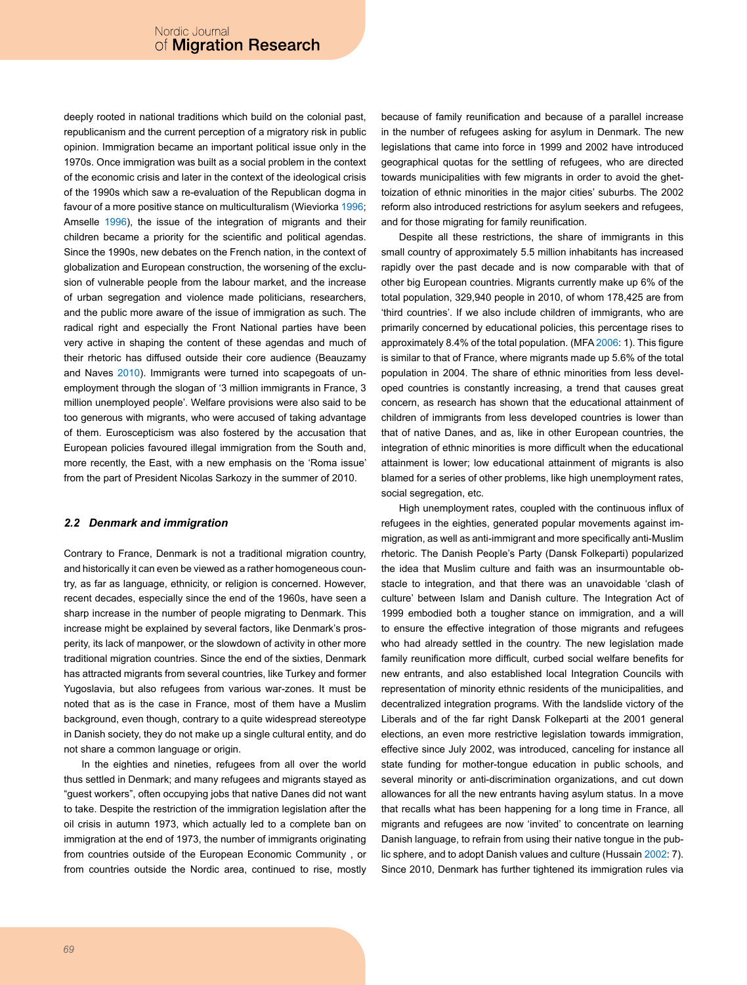deeply rooted in national traditions which build on the colonial past, republicanism and the current perception of a migratory risk in public opinion. Immigration became an important political issue only in the 1970s. Once immigration was built as a social problem in the context of the economic crisis and later in the context of the ideological crisis of the 1990s which saw a re-evaluation of the Republican dogma in favour of a more positive stance on multiculturalism (Wieviorka [1996](#page-11-13); Amselle [1996](#page-10-7)), the issue of the integration of migrants and their children became a priority for the scientific and political agendas. Since the 1990s, new debates on the French nation, in the context of globalization and European construction, the worsening of the exclusion of vulnerable people from the labour market, and the increase of urban segregation and violence made politicians, researchers, and the public more aware of the issue of immigration as such. The radical right and especially the Front National parties have been very active in shaping the content of these agendas and much of their rhetoric has diffused outside their core audience (Beauzamy and Naves [2010\)](#page-10-8). Immigrants were turned into scapegoats of unemployment through the slogan of '3 million immigrants in France, 3 million unemployed people'. Welfare provisions were also said to be too generous with migrants, who were accused of taking advantage of them. Euroscepticism was also fostered by the accusation that European policies favoured illegal immigration from the South and, more recently, the East, with a new emphasis on the 'Roma issue' from the part of President Nicolas Sarkozy in the summer of 2010.

#### *2.2 Denmark and immigration*

Contrary to France, Denmark is not a traditional migration country, and historically it can even be viewed as a rather homogeneous country, as far as language, ethnicity, or religion is concerned. However, recent decades, especially since the end of the 1960s, have seen a sharp increase in the number of people migrating to Denmark. This increase might be explained by several factors, like Denmark's prosperity, its lack of manpower, or the slowdown of activity in other more traditional migration countries. Since the end of the sixties, Denmark has attracted migrants from several countries, like Turkey and former Yugoslavia, but also refugees from various war-zones. It must be noted that as is the case in France, most of them have a Muslim background, even though, contrary to a quite widespread stereotype in Danish society, they do not make up a single cultural entity, and do not share a common language or origin.

In the eighties and nineties, refugees from all over the world thus settled in Denmark; and many refugees and migrants stayed as "guest workers", often occupying jobs that native Danes did not want to take. Despite the restriction of the immigration legislation after the oil crisis in autumn 1973, which actually led to a complete ban on immigration at the end of 1973, the number of immigrants originating from countries outside of the European Economic Community , or from countries outside the Nordic area, continued to rise, mostly

because of family reunification and because of a parallel increase in the number of refugees asking for asylum in Denmark. The new legislations that came into force in 1999 and 2002 have introduced geographical quotas for the settling of refugees, who are directed towards municipalities with few migrants in order to avoid the ghettoization of ethnic minorities in the major cities' suburbs. The 2002 reform also introduced restrictions for asylum seekers and refugees, and for those migrating for family reunification.

Despite all these restrictions, the share of immigrants in this small country of approximately 5.5 million inhabitants has increased rapidly over the past decade and is now comparable with that of other big European countries. Migrants currently make up 6% of the total population, 329,940 people in 2010, of whom 178,425 are from 'third countries'. If we also include children of immigrants, who are primarily concerned by educational policies, this percentage rises to approximately 8.4% of the total population. (MFA [2006](#page-11-14): 1). This figure is similar to that of France, where migrants made up 5.6% of the total population in 2004. The share of ethnic minorities from less developed countries is constantly increasing, a trend that causes great concern, as research has shown that the educational attainment of children of immigrants from less developed countries is lower than that of native Danes, and as, like in other European countries, the integration of ethnic minorities is more difficult when the educational attainment is lower; low educational attainment of migrants is also blamed for a series of other problems, like high unemployment rates, social segregation, etc.

High unemployment rates, coupled with the continuous influx of refugees in the eighties, generated popular movements against immigration, as well as anti-immigrant and more specifically anti-Muslim rhetoric. The Danish People's Party (Dansk Folkeparti) popularized the idea that Muslim culture and faith was an insurmountable obstacle to integration, and that there was an unavoidable 'clash of culture' between Islam and Danish culture. The Integration Act of 1999 embodied both a tougher stance on immigration, and a will to ensure the effective integration of those migrants and refugees who had already settled in the country. The new legislation made family reunification more difficult, curbed social welfare benefits for new entrants, and also established local Integration Councils with representation of minority ethnic residents of the municipalities, and decentralized integration programs. With the landslide victory of the Liberals and of the far right Dansk Folkeparti at the 2001 general elections, an even more restrictive legislation towards immigration, effective since July 2002, was introduced, canceling for instance all state funding for mother-tongue education in public schools, and several minority or anti-discrimination organizations, and cut down allowances for all the new entrants having asylum status. In a move that recalls what has been happening for a long time in France, all migrants and refugees are now 'invited' to concentrate on learning Danish language, to refrain from using their native tongue in the public sphere, and to adopt Danish values and culture (Hussain [2002:](#page-11-15) 7). Since 2010, Denmark has further tightened its immigration rules via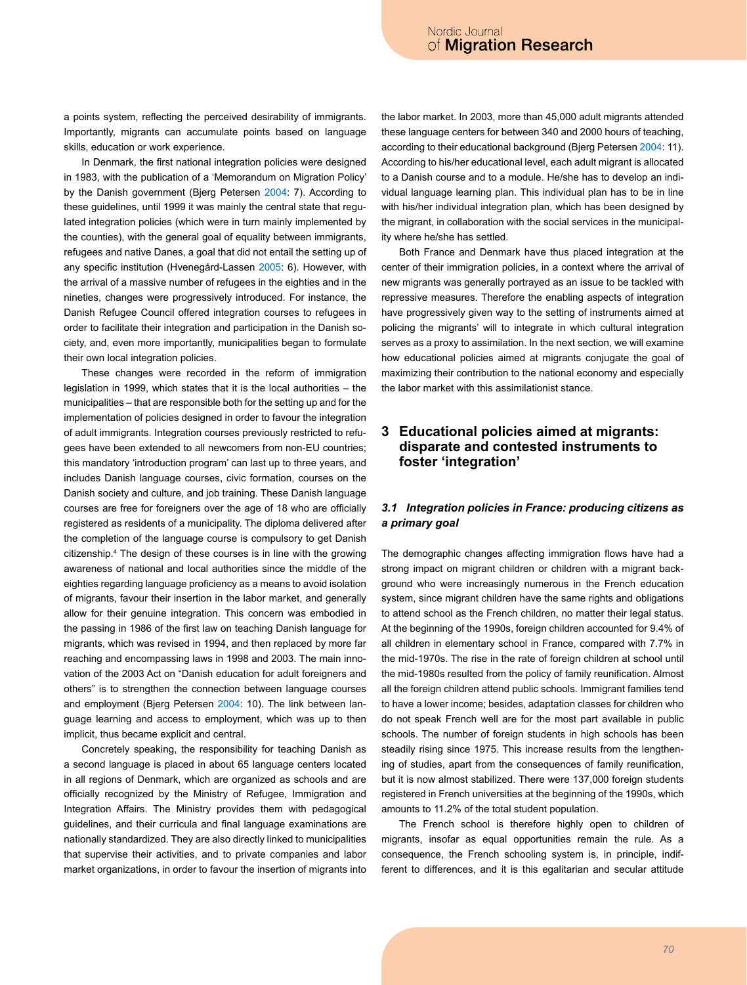a points system, reflecting the perceived desirability of immigrants. Importantly, migrants can accumulate points based on language skills, education or work experience.

In Denmark, the first national integration policies were designed in 1983, with the publication of a 'Memorandum on Migration Policy' by the Danish government (Bjerg Petersen [2004:](#page-10-9) 7). According to these guidelines, until 1999 it was mainly the central state that regulated integration policies (which were in turn mainly implemented by the counties), with the general goal of equality between immigrants, refugees and native Danes, a goal that did not entail the setting up of any specific institution (Hvenegård-Lassen 2005: 6). However, with the arrival of a massive number of refugees in the eighties and in the nineties, changes were progressively introduced. For instance, the Danish Refugee Council offered integration courses to refugees in order to facilitate their integration and participation in the Danish society, and, even more importantly, municipalities began to formulate their own local integration policies.

These changes were recorded in the reform of immigration legislation in 1999, which states that it is the local authorities – the municipalities – that are responsible both for the setting up and for the implementation of policies designed in order to favour the integration of adult immigrants. Integration courses previously restricted to refugees have been extended to all newcomers from non-EU countries; this mandatory 'introduction program' can last up to three years, and includes Danish language courses, civic formation, courses on the Danish society and culture, and job training. These Danish language courses are free for foreigners over the age of 18 who are officially registered as residents of a municipality. The diploma delivered after the completion of the language course is compulsory to get Danish citizenship.[4](#page-10-10) The design of these courses is in line with the growing awareness of national and local authorities since the middle of the eighties regarding language proficiency as a means to avoid isolation of migrants, favour their insertion in the labor market, and generally allow for their genuine integration. This concern was embodied in the passing in 1986 of the first law on teaching Danish language for migrants, which was revised in 1994, and then replaced by more far reaching and encompassing laws in 1998 and 2003. The main innovation of the 2003 Act on "Danish education for adult foreigners and others" is to strengthen the connection between language courses and employment (Bjerg Petersen [2004](#page-10-9): 10). The link between language learning and access to employment, which was up to then implicit, thus became explicit and central.

Concretely speaking, the responsibility for teaching Danish as a second language is placed in about 65 language centers located in all regions of Denmark, which are organized as schools and are officially recognized by the Ministry of Refugee, Immigration and Integration Affairs. The Ministry provides them with pedagogical guidelines, and their curricula and final language examinations are nationally standardized. They are also directly linked to municipalities that supervise their activities, and to private companies and labor market organizations, in order to favour the insertion of migrants into the labor market. In 2003, more than 45,000 adult migrants attended these language centers for between 340 and 2000 hours of teaching, according to their educational background (Bjerg Petersen [2004](#page-10-9): 11). According to his/her educational level, each adult migrant is allocated to a Danish course and to a module. He/she has to develop an individual language learning plan. This individual plan has to be in line with his/her individual integration plan, which has been designed by the migrant, in collaboration with the social services in the municipality where he/she has settled.

Both France and Denmark have thus placed integration at the center of their immigration policies, in a context where the arrival of new migrants was generally portrayed as an issue to be tackled with repressive measures. Therefore the enabling aspects of integration have progressively given way to the setting of instruments aimed at policing the migrants' will to integrate in which cultural integration serves as a proxy to assimilation. In the next section, we will examine how educational policies aimed at migrants conjugate the goal of maximizing their contribution to the national economy and especially the labor market with this assimilationist stance.

# **3 Educational policies aimed at migrants: disparate and contested instruments to foster 'integration'**

### *3.1 Integration policies in France: producing citizens as a primary goal*

The demographic changes affecting immigration flows have had a strong impact on migrant children or children with a migrant background who were increasingly numerous in the French education system, since migrant children have the same rights and obligations to attend school as the French children, no matter their legal status. At the beginning of the 1990s, foreign children accounted for 9.4% of all children in elementary school in France, compared with 7.7% in the mid-1970s. The rise in the rate of foreign children at school until the mid-1980s resulted from the policy of family reunification. Almost all the foreign children attend public schools. Immigrant families tend to have a lower income; besides, adaptation classes for children who do not speak French well are for the most part available in public schools. The number of foreign students in high schools has been steadily rising since 1975. This increase results from the lengthening of studies, apart from the consequences of family reunification, but it is now almost stabilized. There were 137,000 foreign students registered in French universities at the beginning of the 1990s, which amounts to 11.2% of the total student population.

The French school is therefore highly open to children of migrants, insofar as equal opportunities remain the rule. As a consequence, the French schooling system is, in principle, indifferent to differences, and it is this egalitarian and secular attitude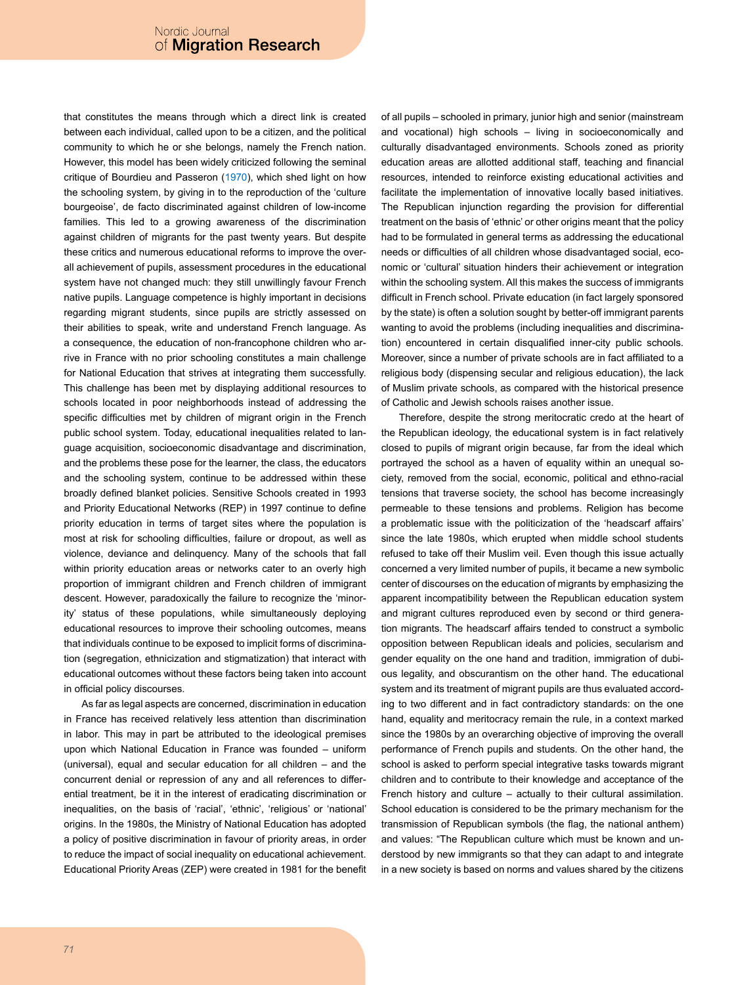that constitutes the means through which a direct link is created between each individual, called upon to be a citizen, and the political community to which he or she belongs, namely the French nation. However, this model has been widely criticized following the seminal critique of Bourdieu and Passeron [\(1970](#page-10-11)), which shed light on how the schooling system, by giving in to the reproduction of the 'culture bourgeoise', de facto discriminated against children of low-income families. This led to a growing awareness of the discrimination against children of migrants for the past twenty years. But despite these critics and numerous educational reforms to improve the overall achievement of pupils, assessment procedures in the educational system have not changed much: they still unwillingly favour French native pupils. Language competence is highly important in decisions regarding migrant students, since pupils are strictly assessed on their abilities to speak, write and understand French language. As a consequence, the education of non-francophone children who arrive in France with no prior schooling constitutes a main challenge for National Education that strives at integrating them successfully. This challenge has been met by displaying additional resources to schools located in poor neighborhoods instead of addressing the specific difficulties met by children of migrant origin in the French public school system. Today, educational inequalities related to language acquisition, socioeconomic disadvantage and discrimination, and the problems these pose for the learner, the class, the educators and the schooling system, continue to be addressed within these broadly defined blanket policies. Sensitive Schools created in 1993 and Priority Educational Networks (REP) in 1997 continue to define priority education in terms of target sites where the population is most at risk for schooling difficulties, failure or dropout, as well as violence, deviance and delinquency. Many of the schools that fall within priority education areas or networks cater to an overly high proportion of immigrant children and French children of immigrant descent. However, paradoxically the failure to recognize the 'minority' status of these populations, while simultaneously deploying educational resources to improve their schooling outcomes, means that individuals continue to be exposed to implicit forms of discrimination (segregation, ethnicization and stigmatization) that interact with educational outcomes without these factors being taken into account in official policy discourses.

As far as legal aspects are concerned, discrimination in education in France has received relatively less attention than discrimination in labor. This may in part be attributed to the ideological premises upon which National Education in France was founded – uniform (universal), equal and secular education for all children – and the concurrent denial or repression of any and all references to differential treatment, be it in the interest of eradicating discrimination or inequalities, on the basis of 'racial', 'ethnic', 'religious' or 'national' origins. In the 1980s, the Ministry of National Education has adopted a policy of positive discrimination in favour of priority areas, in order to reduce the impact of social inequality on educational achievement. Educational Priority Areas (ZEP) were created in 1981 for the benefit of all pupils – schooled in primary, junior high and senior (mainstream and vocational) high schools – living in socioeconomically and culturally disadvantaged environments. Schools zoned as priority education areas are allotted additional staff, teaching and financial resources, intended to reinforce existing educational activities and facilitate the implementation of innovative locally based initiatives. The Republican injunction regarding the provision for differential treatment on the basis of 'ethnic' or other origins meant that the policy had to be formulated in general terms as addressing the educational needs or difficulties of all children whose disadvantaged social, economic or 'cultural' situation hinders their achievement or integration within the schooling system. All this makes the success of immigrants difficult in French school. Private education (in fact largely sponsored by the state) is often a solution sought by better-off immigrant parents wanting to avoid the problems (including inequalities and discrimination) encountered in certain disqualified inner-city public schools. Moreover, since a number of private schools are in fact affiliated to a religious body (dispensing secular and religious education), the lack of Muslim private schools, as compared with the historical presence of Catholic and Jewish schools raises another issue.

Therefore, despite the strong meritocratic credo at the heart of the Republican ideology, the educational system is in fact relatively closed to pupils of migrant origin because, far from the ideal which portrayed the school as a haven of equality within an unequal society, removed from the social, economic, political and ethno-racial tensions that traverse society, the school has become increasingly permeable to these tensions and problems. Religion has become a problematic issue with the politicization of the 'headscarf affairs' since the late 1980s, which erupted when middle school students refused to take off their Muslim veil. Even though this issue actually concerned a very limited number of pupils, it became a new symbolic center of discourses on the education of migrants by emphasizing the apparent incompatibility between the Republican education system and migrant cultures reproduced even by second or third generation migrants. The headscarf affairs tended to construct a symbolic opposition between Republican ideals and policies, secularism and gender equality on the one hand and tradition, immigration of dubious legality, and obscurantism on the other hand. The educational system and its treatment of migrant pupils are thus evaluated according to two different and in fact contradictory standards: on the one hand, equality and meritocracy remain the rule, in a context marked since the 1980s by an overarching objective of improving the overall performance of French pupils and students. On the other hand, the school is asked to perform special integrative tasks towards migrant children and to contribute to their knowledge and acceptance of the French history and culture – actually to their cultural assimilation. School education is considered to be the primary mechanism for the transmission of Republican symbols (the flag, the national anthem) and values: "The Republican culture which must be known and understood by new immigrants so that they can adapt to and integrate in a new society is based on norms and values shared by the citizens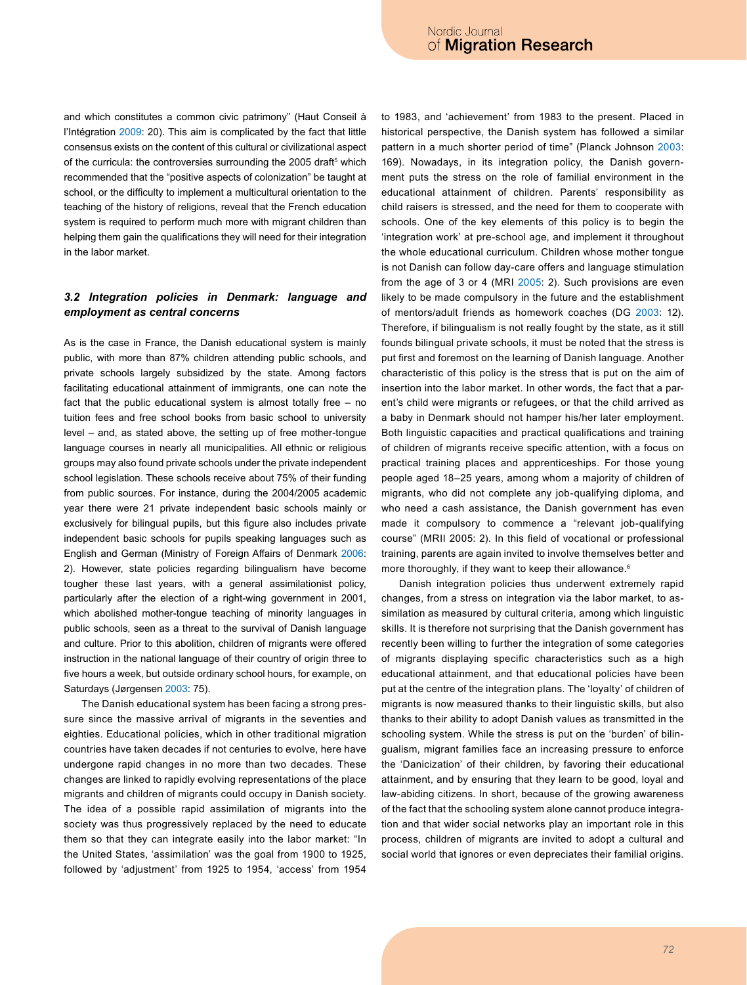and which constitutes a common civic patrimony" (Haut Conseil à l'Intégration [2009:](#page-11-16) 20). This aim is complicated by the fact that little consensus exists on the content of this cultural or civilizational aspect of the curricula: the controversies surrounding the 200[5](#page-10-12) draft<sup>s</sup> which recommended that the "positive aspects of colonization" be taught at school, or the difficulty to implement a multicultural orientation to the teaching of the history of religions, reveal that the French education system is required to perform much more with migrant children than helping them gain the qualifications they will need for their integration in the labor market.

## *3.2 Integration policies in Denmark: language and employment as central concerns*

As is the case in France, the Danish educational system is mainly public, with more than 87% children attending public schools, and private schools largely subsidized by the state. Among factors facilitating educational attainment of immigrants, one can note the fact that the public educational system is almost totally free – no tuition fees and free school books from basic school to university level – and, as stated above, the setting up of free mother-tongue language courses in nearly all municipalities. All ethnic or religious groups may also found private schools under the private independent school legislation. These schools receive about 75% of their funding from public sources. For instance, during the 2004/2005 academic year there were 21 private independent basic schools mainly or exclusively for bilingual pupils, but this figure also includes private independent basic schools for pupils speaking languages such as English and German (Ministry of Foreign Affairs of Denmark [2006:](#page-11-14) 2). However, state policies regarding bilingualism have become tougher these last years, with a general assimilationist policy, particularly after the election of a right-wing government in 2001, which abolished mother-tongue teaching of minority languages in public schools, seen as a threat to the survival of Danish language and culture. Prior to this abolition, children of migrants were offered instruction in the national language of their country of origin three to five hours a week, but outside ordinary school hours, for example, on Saturdays (Jørgensen 2003: 75).

The Danish educational system has been facing a strong pressure since the massive arrival of migrants in the seventies and eighties. Educational policies, which in other traditional migration countries have taken decades if not centuries to evolve, here have undergone rapid changes in no more than two decades. These changes are linked to rapidly evolving representations of the place migrants and children of migrants could occupy in Danish society. The idea of a possible rapid assimilation of migrants into the society was thus progressively replaced by the need to educate them so that they can integrate easily into the labor market: "In the United States, 'assimilation' was the goal from 1900 to 1925, followed by 'adjustment' from 1925 to 1954, 'access' from 1954

to 1983, and 'achievement' from 1983 to the present. Placed in historical perspective, the Danish system has followed a similar pattern in a much shorter period of time" (Planck Johnson [2003](#page-11-17): 169). Nowadays, in its integration policy, the Danish government puts the stress on the role of familial environment in the educational attainment of children. Parents' responsibility as child raisers is stressed, and the need for them to cooperate with schools. One of the key elements of this policy is to begin the 'integration work' at pre-school age, and implement it throughout the whole educational curriculum. Children whose mother tongue is not Danish can follow day-care offers and language stimulation from the age of 3 or 4 (MRI [2005:](#page-11-18) 2). Such provisions are even likely to be made compulsory in the future and the establishment of mentors/adult friends as homework coaches (DG [2003:](#page-11-19) 12). Therefore, if bilingualism is not really fought by the state, as it still founds bilingual private schools, it must be noted that the stress is put first and foremost on the learning of Danish language. Another characteristic of this policy is the stress that is put on the aim of insertion into the labor market. In other words, the fact that a parent's child were migrants or refugees, or that the child arrived as a baby in Denmark should not hamper his/her later employment. Both linguistic capacities and practical qualifications and training of children of migrants receive specific attention, with a focus on practical training places and apprenticeships. For those young people aged 18–25 years, among whom a majority of children of migrants, who did not complete any job-qualifying diploma, and who need a cash assistance, the Danish government has even made it compulsory to commence a "relevant job-qualifying course" (MRII 2005: 2). In this field of vocational or professional training, parents are again invited to involve themselves better and more thoroughly, if they want to keep their allowance.<sup>[6](#page-10-13)</sup>

Danish integration policies thus underwent extremely rapid changes, from a stress on integration via the labor market, to assimilation as measured by cultural criteria, among which linguistic skills. It is therefore not surprising that the Danish government has recently been willing to further the integration of some categories of migrants displaying specific characteristics such as a high educational attainment, and that educational policies have been put at the centre of the integration plans. The 'loyalty' of children of migrants is now measured thanks to their linguistic skills, but also thanks to their ability to adopt Danish values as transmitted in the schooling system. While the stress is put on the 'burden' of bilingualism, migrant families face an increasing pressure to enforce the 'Danicization' of their children, by favoring their educational attainment, and by ensuring that they learn to be good, loyal and law-abiding citizens. In short, because of the growing awareness of the fact that the schooling system alone cannot produce integration and that wider social networks play an important role in this process, children of migrants are invited to adopt a cultural and social world that ignores or even depreciates their familial origins.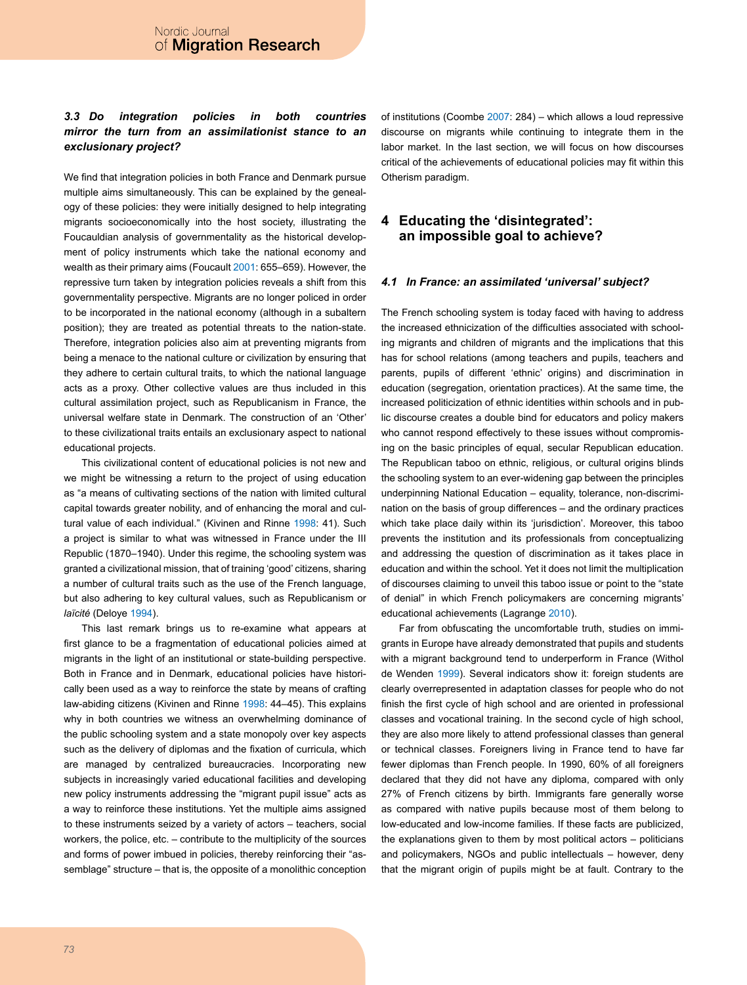# *3.3 Do integration policies in both countries mirror the turn from an assimilationist stance to an exclusionary project?*

We find that integration policies in both France and Denmark pursue multiple aims simultaneously. This can be explained by the genealogy of these policies: they were initially designed to help integrating migrants socioeconomically into the host society, illustrating the Foucauldian analysis of governmentality as the historical development of policy instruments which take the national economy and wealth as their primary aims (Foucault [2001:](#page-11-20) 655–659). However, the repressive turn taken by integration policies reveals a shift from this governmentality perspective. Migrants are no longer policed in order to be incorporated in the national economy (although in a subaltern position); they are treated as potential threats to the nation-state. Therefore, integration policies also aim at preventing migrants from being a menace to the national culture or civilization by ensuring that they adhere to certain cultural traits, to which the national language acts as a proxy. Other collective values are thus included in this cultural assimilation project, such as Republicanism in France, the universal welfare state in Denmark. The construction of an 'Other' to these civilizational traits entails an exclusionary aspect to national educational projects.

This civilizational content of educational policies is not new and we might be witnessing a return to the project of using education as "a means of cultivating sections of the nation with limited cultural capital towards greater nobility, and of enhancing the moral and cultural value of each individual." (Kivinen and Rinne [1998](#page-11-2): 41). Such a project is similar to what was witnessed in France under the III Republic (1870–1940). Under this regime, the schooling system was granted a civilizational mission, that of training 'good' citizens, sharing a number of cultural traits such as the use of the French language, but also adhering to key cultural values, such as Republicanism or *laïcité* (Deloye [1994\)](#page-11-21).

This last remark brings us to re-examine what appears at first glance to be a fragmentation of educational policies aimed at migrants in the light of an institutional or state-building perspective. Both in France and in Denmark, educational policies have historically been used as a way to reinforce the state by means of crafting law-abiding citizens (Kivinen and Rinne [1998](#page-11-2): 44–45). This explains why in both countries we witness an overwhelming dominance of the public schooling system and a state monopoly over key aspects such as the delivery of diplomas and the fixation of curricula, which are managed by centralized bureaucracies. Incorporating new subjects in increasingly varied educational facilities and developing new policy instruments addressing the "migrant pupil issue" acts as a way to reinforce these institutions. Yet the multiple aims assigned to these instruments seized by a variety of actors – teachers, social workers, the police, etc. – contribute to the multiplicity of the sources and forms of power imbued in policies, thereby reinforcing their "assemblage" structure – that is, the opposite of a monolithic conception of institutions (Coombe [2007](#page-11-5): 284) – which allows a loud repressive discourse on migrants while continuing to integrate them in the labor market. In the last section, we will focus on how discourses critical of the achievements of educational policies may fit within this Otherism paradigm.

# **4 Educating the 'disintegrated': an impossible goal to achieve?**

#### *4.1 In France: an assimilated 'universal' subject?*

The French schooling system is today faced with having to address the increased ethnicization of the difficulties associated with schooling migrants and children of migrants and the implications that this has for school relations (among teachers and pupils, teachers and parents, pupils of different 'ethnic' origins) and discrimination in education (segregation, orientation practices). At the same time, the increased politicization of ethnic identities within schools and in public discourse creates a double bind for educators and policy makers who cannot respond effectively to these issues without compromising on the basic principles of equal, secular Republican education. The Republican taboo on ethnic, religious, or cultural origins blinds the schooling system to an ever-widening gap between the principles underpinning National Education – equality, tolerance, non-discrimination on the basis of group differences – and the ordinary practices which take place daily within its 'jurisdiction'. Moreover, this taboo prevents the institution and its professionals from conceptualizing and addressing the question of discrimination as it takes place in education and within the school. Yet it does not limit the multiplication of discourses claiming to unveil this taboo issue or point to the "state of denial" in which French policymakers are concerning migrants' educational achievements (Lagrange [2010](#page-11-22)).

Far from obfuscating the uncomfortable truth, studies on immigrants in Europe have already demonstrated that pupils and students with a migrant background tend to underperform in France (Withol de Wenden [1999](#page-11-9)). Several indicators show it: foreign students are clearly overrepresented in adaptation classes for people who do not finish the first cycle of high school and are oriented in professional classes and vocational training. In the second cycle of high school, they are also more likely to attend professional classes than general or technical classes. Foreigners living in France tend to have far fewer diplomas than French people. In 1990, 60% of all foreigners declared that they did not have any diploma, compared with only 27% of French citizens by birth. Immigrants fare generally worse as compared with native pupils because most of them belong to low-educated and low-income families. If these facts are publicized, the explanations given to them by most political actors – politicians and policymakers, NGOs and public intellectuals – however, deny that the migrant origin of pupils might be at fault. Contrary to the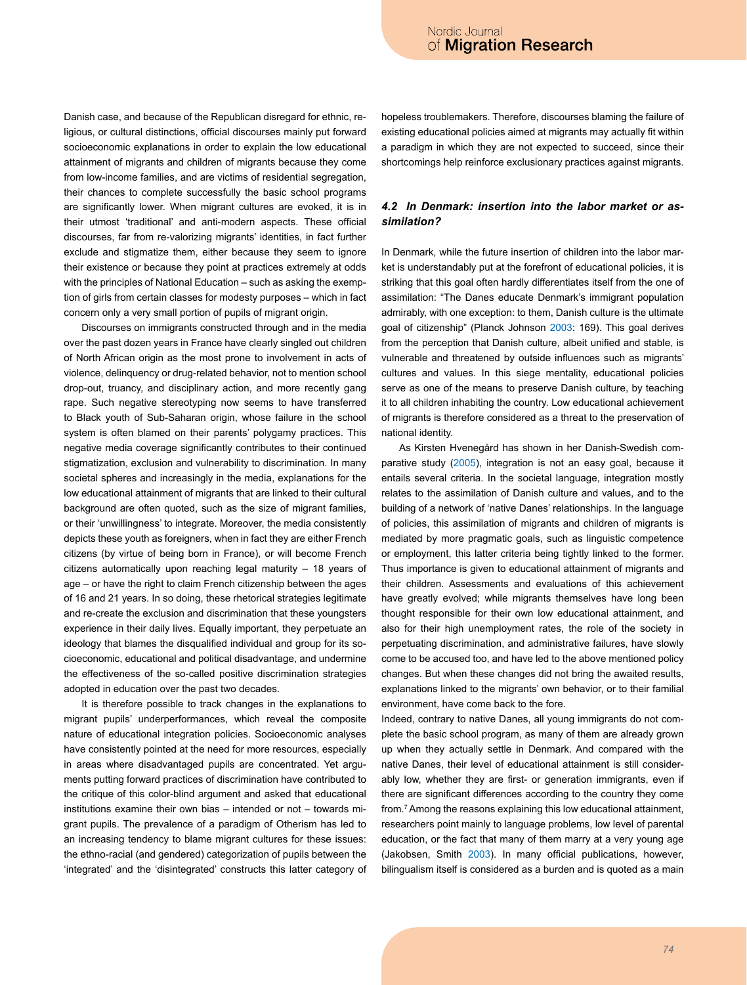Danish case, and because of the Republican disregard for ethnic, religious, or cultural distinctions, official discourses mainly put forward socioeconomic explanations in order to explain the low educational attainment of migrants and children of migrants because they come from low-income families, and are victims of residential segregation, their chances to complete successfully the basic school programs are significantly lower. When migrant cultures are evoked, it is in their utmost 'traditional' and anti-modern aspects. These official discourses, far from re-valorizing migrants' identities, in fact further exclude and stigmatize them, either because they seem to ignore their existence or because they point at practices extremely at odds with the principles of National Education – such as asking the exemption of girls from certain classes for modesty purposes – which in fact concern only a very small portion of pupils of migrant origin.

Discourses on immigrants constructed through and in the media over the past dozen years in France have clearly singled out children of North African origin as the most prone to involvement in acts of violence, delinquency or drug-related behavior, not to mention school drop-out, truancy, and disciplinary action, and more recently gang rape. Such negative stereotyping now seems to have transferred to Black youth of Sub-Saharan origin, whose failure in the school system is often blamed on their parents' polygamy practices. This negative media coverage significantly contributes to their continued stigmatization, exclusion and vulnerability to discrimination. In many societal spheres and increasingly in the media, explanations for the low educational attainment of migrants that are linked to their cultural background are often quoted, such as the size of migrant families, or their 'unwillingness' to integrate. Moreover, the media consistently depicts these youth as foreigners, when in fact they are either French citizens (by virtue of being born in France), or will become French citizens automatically upon reaching legal maturity – 18 years of age – or have the right to claim French citizenship between the ages of 16 and 21 years. In so doing, these rhetorical strategies legitimate and re-create the exclusion and discrimination that these youngsters experience in their daily lives. Equally important, they perpetuate an ideology that blames the disqualified individual and group for its socioeconomic, educational and political disadvantage, and undermine the effectiveness of the so-called positive discrimination strategies adopted in education over the past two decades.

It is therefore possible to track changes in the explanations to migrant pupils' underperformances, which reveal the composite nature of educational integration policies. Socioeconomic analyses have consistently pointed at the need for more resources, especially in areas where disadvantaged pupils are concentrated. Yet arguments putting forward practices of discrimination have contributed to the critique of this color-blind argument and asked that educational institutions examine their own bias – intended or not – towards migrant pupils. The prevalence of a paradigm of Otherism has led to an increasing tendency to blame migrant cultures for these issues: the ethno-racial (and gendered) categorization of pupils between the 'integrated' and the 'disintegrated' constructs this latter category of

hopeless troublemakers. Therefore, discourses blaming the failure of existing educational policies aimed at migrants may actually fit within a paradigm in which they are not expected to succeed, since their shortcomings help reinforce exclusionary practices against migrants.

### *4.2 In Denmark: insertion into the labor market or assimilation?*

In Denmark, while the future insertion of children into the labor market is understandably put at the forefront of educational policies, it is striking that this goal often hardly differentiates itself from the one of assimilation: "The Danes educate Denmark's immigrant population admirably, with one exception: to them, Danish culture is the ultimate goal of citizenship" (Planck Johnson [2003](#page-11-17): 169). This goal derives from the perception that Danish culture, albeit unified and stable, is vulnerable and threatened by outside influences such as migrants' cultures and values. In this siege mentality, educational policies serve as one of the means to preserve Danish culture, by teaching it to all children inhabiting the country. Low educational achievement of migrants is therefore considered as a threat to the preservation of national identity.

As Kirsten Hvenegård has shown in her Danish-Swedish comparative study (2005), integration is not an easy goal, because it entails several criteria. In the societal language, integration mostly relates to the assimilation of Danish culture and values, and to the building of a network of 'native Danes' relationships. In the language of policies, this assimilation of migrants and children of migrants is mediated by more pragmatic goals, such as linguistic competence or employment, this latter criteria being tightly linked to the former. Thus importance is given to educational attainment of migrants and their children. Assessments and evaluations of this achievement have greatly evolved; while migrants themselves have long been thought responsible for their own low educational attainment, and also for their high unemployment rates, the role of the society in perpetuating discrimination, and administrative failures, have slowly come to be accused too, and have led to the above mentioned policy changes. But when these changes did not bring the awaited results, explanations linked to the migrants' own behavior, or to their familial environment, have come back to the fore.

Indeed, contrary to native Danes, all young immigrants do not complete the basic school program, as many of them are already grown up when they actually settle in Denmark. And compared with the native Danes, their level of educational attainment is still considerably low, whether they are first- or generation immigrants, even if there are significant differences according to the country they come from[.7](#page-10-14) Among the reasons explaining this low educational attainment, researchers point mainly to language problems, low level of parental education, or the fact that many of them marry at a very young age (Jakobsen, Smith [2003](#page-11-23)). In many official publications, however, bilingualism itself is considered as a burden and is quoted as a main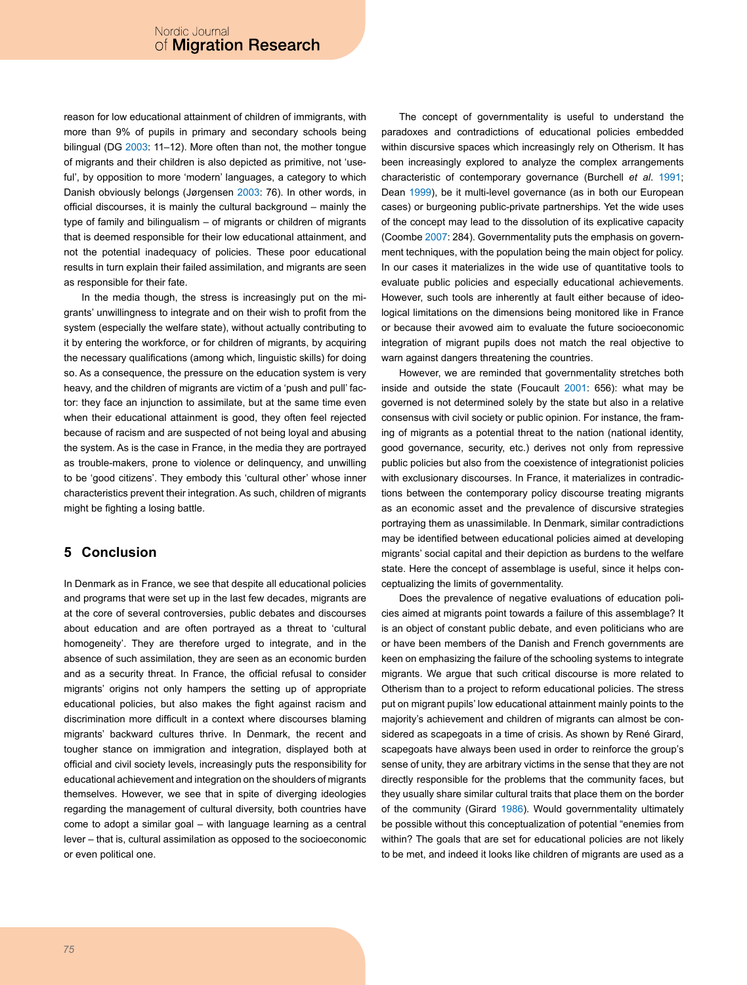reason for low educational attainment of children of immigrants, with more than 9% of pupils in primary and secondary schools being bilingual (DG [2003:](#page-11-19) 11-12). More often than not, the mother tongue of migrants and their children is also depicted as primitive, not 'useful', by opposition to more 'modern' languages, a category to which Danish obviously belongs (Jørgensen 2003: 76). In other words, in official discourses, it is mainly the cultural background – mainly the type of family and bilingualism – of migrants or children of migrants that is deemed responsible for their low educational attainment, and not the potential inadequacy of policies. These poor educational results in turn explain their failed assimilation, and migrants are seen as responsible for their fate.

In the media though, the stress is increasingly put on the migrants' unwillingness to integrate and on their wish to profit from the system (especially the welfare state), without actually contributing to it by entering the workforce, or for children of migrants, by acquiring the necessary qualifications (among which, linguistic skills) for doing so. As a consequence, the pressure on the education system is very heavy, and the children of migrants are victim of a 'push and pull' factor: they face an injunction to assimilate, but at the same time even when their educational attainment is good, they often feel rejected because of racism and are suspected of not being loyal and abusing the system. As is the case in France, in the media they are portrayed as trouble-makers, prone to violence or delinquency, and unwilling to be 'good citizens'. They embody this 'cultural other' whose inner characteristics prevent their integration. As such, children of migrants might be fighting a losing battle.

# **5 Conclusion**

In Denmark as in France, we see that despite all educational policies and programs that were set up in the last few decades, migrants are at the core of several controversies, public debates and discourses about education and are often portrayed as a threat to 'cultural homogeneity'. They are therefore urged to integrate, and in the absence of such assimilation, they are seen as an economic burden and as a security threat. In France, the official refusal to consider migrants' origins not only hampers the setting up of appropriate educational policies, but also makes the fight against racism and discrimination more difficult in a context where discourses blaming migrants' backward cultures thrive. In Denmark, the recent and tougher stance on immigration and integration, displayed both at official and civil society levels, increasingly puts the responsibility for educational achievement and integration on the shoulders of migrants themselves. However, we see that in spite of diverging ideologies regarding the management of cultural diversity, both countries have come to adopt a similar goal – with language learning as a central lever – that is, cultural assimilation as opposed to the socioeconomic or even political one.

The concept of governmentality is useful to understand the paradoxes and contradictions of educational policies embedded within discursive spaces which increasingly rely on Otherism. It has been increasingly explored to analyze the complex arrangements characteristic of contemporary governance (Burchell *et al*. [1991](#page-10-15); Dean [1999](#page-11-24)), be it multi-level governance (as in both our European cases) or burgeoning public-private partnerships. Yet the wide uses of the concept may lead to the dissolution of its explicative capacity (Coombe [2007:](#page-11-5) 284). Governmentality puts the emphasis on government techniques, with the population being the main object for policy. In our cases it materializes in the wide use of quantitative tools to evaluate public policies and especially educational achievements. However, such tools are inherently at fault either because of ideological limitations on the dimensions being monitored like in France or because their avowed aim to evaluate the future socioeconomic integration of migrant pupils does not match the real objective to warn against dangers threatening the countries.

However, we are reminded that governmentality stretches both inside and outside the state (Foucault [2001:](#page-11-20) 656): what may be governed is not determined solely by the state but also in a relative consensus with civil society or public opinion. For instance, the framing of migrants as a potential threat to the nation (national identity, good governance, security, etc.) derives not only from repressive public policies but also from the coexistence of integrationist policies with exclusionary discourses. In France, it materializes in contradictions between the contemporary policy discourse treating migrants as an economic asset and the prevalence of discursive strategies portraying them as unassimilable. In Denmark, similar contradictions may be identified between educational policies aimed at developing migrants' social capital and their depiction as burdens to the welfare state. Here the concept of assemblage is useful, since it helps conceptualizing the limits of governmentality.

Does the prevalence of negative evaluations of education policies aimed at migrants point towards a failure of this assemblage? It is an object of constant public debate, and even politicians who are or have been members of the Danish and French governments are keen on emphasizing the failure of the schooling systems to integrate migrants. We argue that such critical discourse is more related to Otherism than to a project to reform educational policies. The stress put on migrant pupils' low educational attainment mainly points to the majority's achievement and children of migrants can almost be considered as scapegoats in a time of crisis. As shown by René Girard, scapegoats have always been used in order to reinforce the group's sense of unity, they are arbitrary victims in the sense that they are not directly responsible for the problems that the community faces, but they usually share similar cultural traits that place them on the border of the community (Girard [1986](#page-11-25)). Would governmentality ultimately be possible without this conceptualization of potential "enemies from within? The goals that are set for educational policies are not likely to be met, and indeed it looks like children of migrants are used as a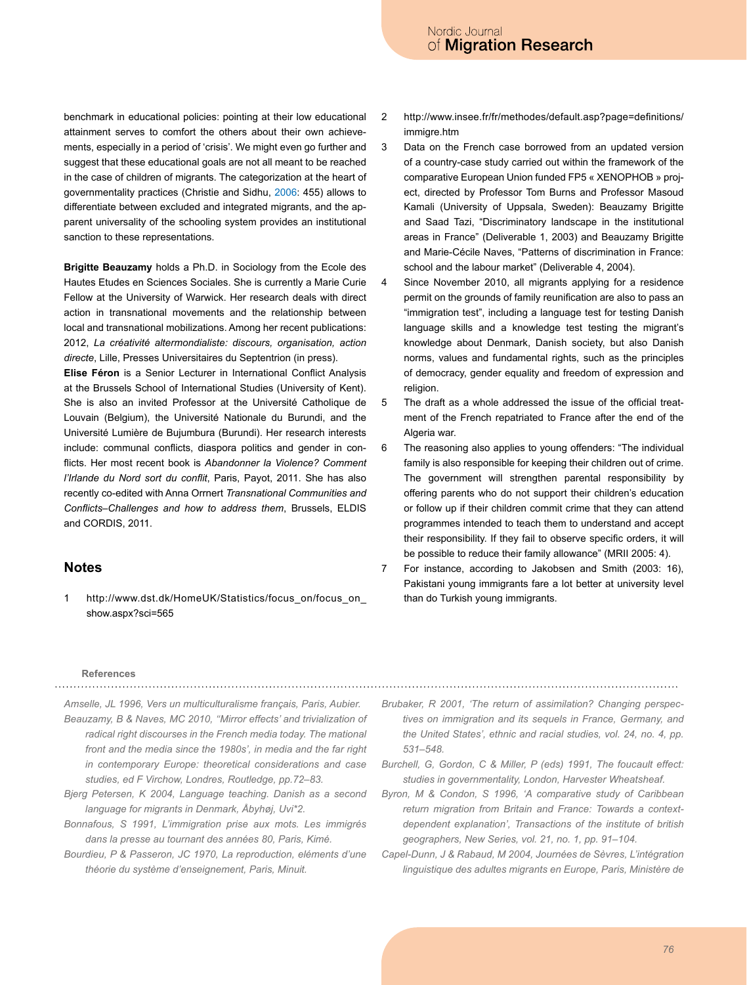benchmark in educational policies: pointing at their low educational attainment serves to comfort the others about their own achievements, especially in a period of 'crisis'. We might even go further and suggest that these educational goals are not all meant to be reached in the case of children of migrants. The categorization at the heart of governmentality practices (Christie and Sidhu, [2006:](#page-11-26) 455) allows to differentiate between excluded and integrated migrants, and the apparent universality of the schooling system provides an institutional sanction to these representations.

**Brigitte Beauzamy** holds a Ph.D. in Sociology from the Ecole des Hautes Etudes en Sciences Sociales. She is currently a Marie Curie Fellow at the University of Warwick. Her research deals with direct action in transnational movements and the relationship between local and transnational mobilizations. Among her recent publications: 2012, *La créativité altermondialiste: discours, organisation, action directe*, Lille, Presses Universitaires du Septentrion (in press).

**Elise Féron** is a Senior Lecturer in International Conflict Analysis at the Brussels School of International Studies (University of Kent). She is also an invited Professor at the Université Catholique de Louvain (Belgium), the Université Nationale du Burundi, and the Université Lumière de Bujumbura (Burundi). Her research interests include: communal conflicts, diaspora politics and gender in conflicts. Her most recent book is *Abandonner la Violence? Comment l'Irlande du Nord sort du conflit*, Paris, Payot, 2011. She has also recently co-edited with Anna Orrnert *Transnational Communities and Conflicts–Challenges and how to address them*, Brussels, ELDIS and CORDIS, 2011.

# **Notes**

<span id="page-10-1"></span>1 http://www.dst.dk/HomeUK/Statistics/focus\_on/focus\_on\_ show.aspx?sci=565

- <span id="page-10-2"></span>2 http://www.insee.fr/fr/methodes/default.asp?page=definitions/ immigre.htm
- <span id="page-10-4"></span>3 Data on the French case borrowed from an updated version of a country-case study carried out within the framework of the comparative European Union funded FP5 « XENOPHOB » project, directed by Professor Tom Burns and Professor Masoud Kamali (University of Uppsala, Sweden): Beauzamy Brigitte and Saad Tazi, "Discriminatory landscape in the institutional areas in France" (Deliverable 1, 2003) and Beauzamy Brigitte and Marie-Cécile Naves, "Patterns of discrimination in France: school and the labour market" (Deliverable 4, 2004).
- <span id="page-10-10"></span>4 Since November 2010, all migrants applying for a residence permit on the grounds of family reunification are also to pass an "immigration test", including a language test for testing Danish language skills and a knowledge test testing the migrant's knowledge about Denmark, Danish society, but also Danish norms, values and fundamental rights, such as the principles of democracy, gender equality and freedom of expression and religion.
- <span id="page-10-12"></span>5 The draft as a whole addressed the issue of the official treatment of the French repatriated to France after the end of the Algeria war.
- <span id="page-10-13"></span>6 The reasoning also applies to young offenders: "The individual family is also responsible for keeping their children out of crime. The government will strengthen parental responsibility by offering parents who do not support their children's education or follow up if their children commit crime that they can attend programmes intended to teach them to understand and accept their responsibility. If they fail to observe specific orders, it will be possible to reduce their family allowance" (MRII 2005: 4).
- <span id="page-10-14"></span>7 For instance, according to Jakobsen and Smith (2003: 16), Pakistani young immigrants fare a lot better at university level than do Turkish young immigrants.

# **References**

<span id="page-10-8"></span><span id="page-10-7"></span>*Amselle, JL 1996, Vers un multiculturalisme français, Paris, Aubier. Beauzamy, B & Naves, MC 2010, ''Mirror effects' and trivialization of radical right discourses in the French media today. The mational front and the media since the 1980s', in media and the far right in contemporary Europe: theoretical considerations and case studies, ed F Virchow, Londres, Routledge, pp.72–83.*

- <span id="page-10-9"></span>*Bjerg Petersen, K 2004, Language teaching. Danish as a second language for migrants in Denmark, Åbyhøj, Uvi\*2.*
- <span id="page-10-3"></span>*Bonnafous, S 1991, L'immigration prise aux mots. Les immigrés dans la presse au tournant des années 80, Paris, Kimé.*
- <span id="page-10-11"></span>*Bourdieu, P & Passeron, JC 1970, La reproduction, eléments d'une théorie du système d'enseignement, Paris, Minuit.*
- <span id="page-10-5"></span>*Brubaker, R 2001, 'The return of assimilation? Changing perspectives on immigration and its sequels in France, Germany, and the United States', ethnic and racial studies, vol. 24, no. 4, pp. 531–548.*
- <span id="page-10-15"></span>*Burchell, G, Gordon, C & Miller, P (eds) 1991, The foucault effect: studies in governmentality, London, Harvester Wheatsheaf.*
- <span id="page-10-0"></span>*Byron, M & Condon, S 1996, 'A comparative study of Caribbean return migration from Britain and France: Towards a contextdependent explanation', Transactions of the institute of british geographers, New Series, vol. 21, no. 1, pp. 91–104.*
- <span id="page-10-6"></span>*Capel-Dunn, J & Rabaud, M 2004, Journées de Sèvres, L'intégration linguistique des adultes migrants en Europe, Paris, Ministère de*